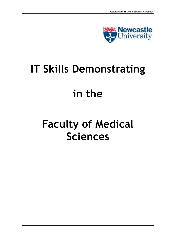

## **IT Skills Demonstrating**

## **in the**

# **Faculty of Medical Sciences**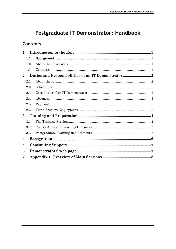## Postgraduate IT Demonstrator: Handbook

## **Contents**

| 1              |     |                                                     |  |
|----------------|-----|-----------------------------------------------------|--|
|                | 1.1 |                                                     |  |
|                | 1.2 |                                                     |  |
|                | 1.3 |                                                     |  |
| $\bf{2}$       |     | Duties and Responsibilities of an IT Demonstrator 2 |  |
|                | 2.1 |                                                     |  |
|                | 2.2 |                                                     |  |
|                | 2.3 |                                                     |  |
|                | 2.4 |                                                     |  |
|                | 2.5 |                                                     |  |
|                | 2.6 |                                                     |  |
| 3              |     |                                                     |  |
|                | 3.1 |                                                     |  |
|                | 3.2 |                                                     |  |
|                | 3.3 |                                                     |  |
| $\overline{4}$ |     |                                                     |  |
| 5              |     |                                                     |  |
| 6              |     |                                                     |  |
| 7              |     |                                                     |  |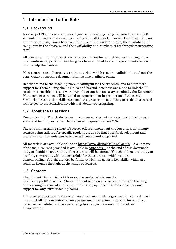## <span id="page-2-0"></span>**1 Introduction to the Role**

### <span id="page-2-1"></span>**1.1 Background**

A variety of IT courses are run each year with training being delivered to over 5000 students (undergraduate and postgraduate) in all three University Faculties. Courses are repeated many times because of the size of the student intake, the availability of computers in the clusters, and the availability and numbers of teaching/demonstrating staff.

All courses aim to improve students' opportunities for, and efficiency in, using IT. A problem-based approach to teaching has been adopted to encourage students to learn how to help themselves.

Most courses are delivered via online tutorials which remain available throughout the year. Other supporting documentation is also available online.

In order to make the teaching more meaningful for the students, and to offer more support for them during their studies and beyond, attempts are made to link the IT sessions to specific pieces of work; e.g. if a group has an essay to submit, the Document Management sessions will be timed to support them in production of the essay. Similarly, presentation skills sessions have greater impact if they precede an assessed oral or poster presentation for which students are preparing.

## <span id="page-2-2"></span>**1.2 About the IT sessions**

Demonstrating IT to students during courses carries with it a responsibility to teach skills and techniques rather than answering questions (see 2.3).

There is an increasing range of courses offered throughout the Faculties, with many courses being tailored for specific student groups so that specific development and academic requirements can be better addressed and supported.

All materials are available online at [https://www.digitalskills.ncl.ac.uk/](http://fms-itskills.ncl.ac.uk/). A summary of the main courses provided is available in [Appendix 1](#page-9-0) at the end of this document, but you should be aware that other courses will be offered. You should ensure that you are fully conversant with the materials for the course on which you are demonstrating. You should also be familiar with the general key skills, which are common themes throughout the range of courses.

## <span id="page-2-3"></span>**1.3 Contacts**

The Student Digital Skills Officer can be contacted via email at itskills.support@ncl.ac.uk. She can be contacted on any issues relating to teaching and learning in general and issues relating to pay, teaching rotas, absences and support for any extra teaching hours.

IT Demonstrators can be contacted via email: [med-it-dems@ncl.ac.uk.](mailto:med-it-dems@ncl.ac.uk) You will need to contact all demonstrators when you are unable to attend a session for which you have been scheduled and are arranging to swap your session with another demonstrator.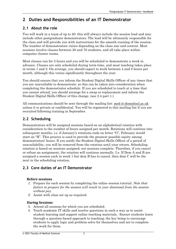## <span id="page-3-0"></span>**2 Duties and Responsibilities of an IT Demonstrator**

## <span id="page-3-1"></span>**2.1 About the role**

You will work in a team of up to 20: this will always include the session lead and may include other postgraduate demonstrators. The lead will be ultimately responsible for the class and will provide you with instructions for the smooth running of the session. The number of demonstrators varies depending on the class size and content. Most sessions involve classes between 20 and 70 students, and all take place within computer cluster rooms.

Most classes run for 2 hours and you will be scheduled to demonstrate a week in advance. Classes are only scheduled during term-time, and most teaching takes place in terms 1 and 2. On average, you should expect to work between 4 and 8 hours per month, although this varies significantly throughout the year.

You should ensure that you inform the Student Digital Skills Officer of any times that you are unavailable to demonstrate, so this can be taken into consideration when completing the demonstrator schedule. If you are scheduled to teach at a time that you cannot attend, you should arrange for a swap or replacement and inform the Student Digital Skills Officer of this change. (see 2.4 part 1.)

All communications should be sent through the mailing list: med-it-dems@ncl.ac.uk unless it is private or confidential. You will be registered to [this mailing list if you ar](mailto:med-it-dems@ncl.ac.uk)e recruited following training in September.

## **2.2 Scheduling**

<span id="page-3-2"></span>Demonstrators will be assigned sessions based on an alphabetical rotation with consideration to the number of hours assigned per month. Rotations will continue into subsequent months, i.e. if January's rotations ends on letter "G", February would start on "H". This process is used to provide the greatest possible equity among demonstrators' hours. If you notify the Student Digital Skills Officer of a period of unavailability, you will be removed from the rotation until your return. Scheduling rotation is based on sessions assigned, not sessions complete. Therefore, if you cancel or refuse an assignment, the rotation will continue normally. I.e. If Dem A and B are assigned a session each in week 1 but dem B has to cancel, then dem C will be the next in the scheduling rotation.

## <span id="page-3-3"></span>**2.3 Core duties of an IT Demonstrator**

#### **Before sessions**

- *1.* Prepare for each session by completing the online session tutorial. *Note that failure to prepare for the session will result in your dismissal from the session without pay.*
- *2.* Assist with class set up as required.

#### **During Sessions**

- 3. Attend all sessions for which you are scheduled.
- 4. Teach academic IT skills and resolve questions in such a way as to assist student learning and support online teaching materials. Ensure students learn through a question-based approach to teaching; the key being to encourage students to apply logic and problem-solve for themselves and not to complete the work for them.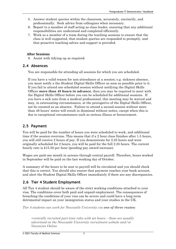- 5. Answer student queries within the classroom, accurately, succinctly, and professionally. Seek advice from colleagues when necessary.
- 6. Report to a member of staff acting as class leader, ensuring that any additional responsibilities are understood and completed efficiently.
- 7. Work as a member of a team during the teaching sessions to ensure that the class is well supported, that student queries are responded to promptly, and that proactive teaching advice and support is provided.

#### **After Sessions**

8. Assist with tidying up as required.

#### <span id="page-4-0"></span>**2.4 Absences**

You are responsible for attending all sessions for which you are scheduled.

If you have a valid reason for non-attendance at a session; e.g. sickness absence, you must notify a the Student Digital Skills Officer as soon as possible prior to it. If you fail to attend one scheduled session without notifying the Digital Skills Officer *more than 48 hours in advance*, then you may be required to meet with the Digital Skills Officer before you can be scheduled for additional sessions. If you have a sick note from a medical professional, this meeting may be waived and may, in extenuating circumstances, at the prerogative of the Digital Skills Officer, not be counted as an absence. Failure to attend a second session without more than 48 hours' notice will result in dismissal without notice, except when this is due to exceptional circumstances such as serious illness or bereavement.

#### <span id="page-4-1"></span>**2.5 Payment**

You will be paid for the number of hours you were scheduled to work, and additional time if the session overruns. This means that if a 2 hour class finishes after 1.5 hours, you will still receive 2 hours of pay. If you demonstrate for 2.25 hours and were originally scheduled for 2 hours, you will be paid for the full 2.25 hours. The current hourly rate is £15.50 per hour (pending pay award increase).

Wages are paid one month in arrears through central payroll. Therefore, hours worked in September will be paid on the last working day of October.

A summary of the hours to be sent to payroll will be circulated and you should check that this is correct. You should also ensure that payment reaches your bank account, and alert the Student Digital Skills Officer immediately if there are any discrepancies.

#### **2.6 Tier 4 Student Employment**

<span id="page-4-2"></span>All Tier 4 student should be aware of the strict working conditions attached to your visa. The conditions cover both paid and unpaid employment. The consequences of breaching the conditions of your visa can be severe and could have a long-term detrimental impact on your immigration status and your studies in the UK.

*Tier 4 students can work for Newcastle University via one of three routes:* 

*•centrally recruited part-time roles with set hours – these are usually advertised on the Newcastle University recruitment website and/or Vacancies Online*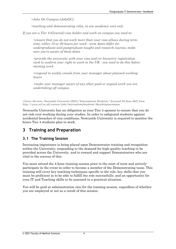*•Jobs On Campus (JobsOC)*

*•teaching and demonstrating roles, in one academic unit only*

*If you are a Tier 4 (General) visa holder and work on campus you need to:*

*•ensure that you do not work more than your visa allows during termtime, either 10 or 20 hours per week - term dates differ for undergraduate and postgraduate taught and research courses, make sure you're aware of these dates*

*•provide the university with your visa and/or biometric registration card to confirm your right to work in the UK - you need to do this before starting work*

*•respond to weekly emails from your manager about planned working hours*

*•make your manager aware of any other paid or unpaid work you are undertaking off campus.*

*-Career Services, Newcastle University (2021) "International Students," Accessed 08 June 2021 from http://www.ncl.ac.uk/careers/jobs/internationalstudents/#workingoncampus*

Newcastle University has an obligation as your Tier 4 sponsor to ensure that you do not risk over-working during your studies. In order to safeguard students against accidental breaches of visa conditions, Newcastle University is required to monitor the hours Tier 4 students plan to work.

## **3 Training and Preparation**

#### **3.1 The Training Session**

Increasing importance is being placed upon Demonstrator training and recognition within the University; responding to the demand for high-quality teaching to be provided across the University, and to reward and support Demonstrators who are vital to the success of this.

<span id="page-5-1"></span><span id="page-5-0"></span>You must attend the 4-hour training session prior to the start of term and actively participate in the event in order to become a member of the Demonstrating team. This training will cover key teaching techniques specific to the role; key skills that you must be proficient in to be able to fulfill the role successfully; and an opportunity for your IT and Teaching skills to be assessed in a practical situation.

You will be paid at administration rate for the training session, regardless of whether you are employed or not as a result of this session.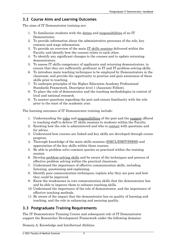#### <span id="page-6-0"></span>**3.2 Course Aims and Learning Outcomes**

The aims of IT Demonstrator training are:

- 1. To familiarise students with the duties and responsibilities of an IT Demonstrator.
- 2. To provide information about the administrative processes of the role, key contacts and wage information.
- 3. To provide an overview of the main [IT skills sessions](#page-9-0) delivered within the Faculty and identify how the courses relate to each other.
- 4. To identify any significant changes to the courses and to update returning demonstrators.
- 5. To assess IT skills competency of applicants and returning demonstrators, to ensure that they are sufficiently proficient in IT and IT-problem-solving skills.
- 6. To introduce main teaching techniques to be employed by Demonstrators in the classroom, and provide the opportunity to practise and gain awareness of these skills prior to teaching.
- 7. To underpin principles of the Higher Education Academy Professional Standards Framework, Descriptor level 1 (Associate Fellow).
- 8. To place the role of demonstrator and the teaching methodologies in context of local and national research.
- 9. To answer questions regarding the post and ensure familiarity with the role prior to the start of the academic year.

The learning outcomes of IT Demonstrator training include:

- 1. Understanding the roles and responsibilities of the post and the [support](#page-8-0) offered to teaching staff to deliver IT skills sessions to students within the Faculty.
- 2. Knowing how the role is administered and who to [contact](#page-2-3) with questions and for advice.
- 3. Understand how courses are linked and key skills are developed through course progress.
- 4. Thorough knowledge of the main skills sessions [\(DMCL/DMIT/DHSS\)](#page-9-0) and appreciation of the key skills within these courses.
- 5. Be able to problem solve common queries as practised within the training session.
- 6. Develop problem-solving skills and be aware of the techniques and process of effective problem solving within the practical classroom.
- 7. Understand the importance of effective communication skills, including listening, questioning and explaining.
- 8. Identify poor communication techniques; explain why they are poor and how they could be improved.
- 9. Know the weaknesses in core communication skills that the demonstrator has and be able to improve them to enhance teaching skills.
- 10. Understand the importance of the role of demonstrator, and the importance of effective teaching methods.
- 11. Be aware of the impact that the demonstrator has on quality of learning and teaching, and the role in enhancing and assuring quality.

## <span id="page-6-1"></span>**3.3 Postgraduate Training Requirements**

The IT Demonstrator Training Course and subsequent role of IT Demonstrator support the Researcher Development Framework under the following domains:

Domain A: Knowledge and Intellectual Abilities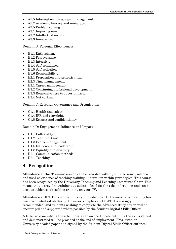- A1.5 Information literacy and management.
- A1.7 Academic literacy and numeracy.
- A2.5 Problem solving.
- A3.1 Inquiring mind.
- A3.2 Intellectual insight.
- A3.3 Innovation.

Domain B: Personal Effectiveness

- B1.1 Enthusiasm.
- B1.2 Perseverance.
- B1.3 Integrity.
- B1.4 Self-confidence.
- B1.5 Self-reflection.
- B1.6 Responsibility.
- B2.1 Preparation and prioritisation.
- B2.3 Time management.
- B3.1 Career management.
- B3.2 Continuing professional development.
- B3.3 Responsiveness to opportunities.
- B3.4 Networking.

Domain C: Research Governance and Organisation

- C1.1 Health and safety.
- C1.4 IPR and copyright.
- C1.5 Respect and confidentiality.

Domain D: Engagement, Influence and Impact

- D1.1 Collegiality.
- D1.2 Team working.
- D1.3 People management.
- D1.6 Influence and leadership.
- D1.8 Equality and diversity.
- D2.1 Communication methods.
- D3.1 Teaching.

## <span id="page-7-0"></span>**4 Recognition**

Attendance at this Training session can be recorded within your electronic portfolio and used as evidence of teaching training undertaken within your degree. This course has been recognised by the University Teaching and Learning Committee Chair. This means that it provides training at a suitable level for the role undertaken and can be used as evidence of teaching training on your CV.

Attendance at ILTHE is not compulsory, provided that IT Demonstrator Training has been completed satisfactorily. However, completion of ILTHE is strongly recommended, and students wishing to complete the advanced study option will be encouraged and supported where possible by the Student Digital Skills Officer.

A letter acknowledging the role undertaken and certificate outlining the skills gained and demonstrated will be provided at the end of employment. This letter, on University headed paper and signed by the Student Digital Skills Officer outlines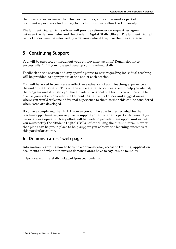the roles and experiences that this post requires, and can be used as part of documentary evidence for future jobs, including those within the University.

The Student Digital Skills officer will provide references on request, as agreed between the demonstrator and the Student Digital Skills Officer. The Student Digital Skills Officer must be informed by a demonstrator if they use them as a referee.

## <span id="page-8-0"></span>**5 Continuing Support**

You will b[e supported](#page-8-0) throughout your employment as an IT Demonstrator to successfully fulfill your role and develop your teaching skills.

Feedback on the session and any specific points to note regarding individual teaching will be provided as appropriate at the end of each session.

You will be asked to complete a reflective evaluation of your teaching experience at the end of the first term. This will be a private reflection designed to help you identify the progress and strengths you have made throughout the term. You will be able to discuss your reflections with the Student Digital Skills Officer and suggest areas where you would welcome additional experience to them so that this can be considered when rotas are developed.

If you are completing the ILTHE course you will be able to discuss what further teaching opportunities you require to support you through this particular area of your personal development. Every effort will be made to provide these opportunities but you must notify the Student Digital Skills Officer during the autumn term in order that plans can be put in place to help support you achieve the learning outcomes of this particular course.

## <span id="page-8-1"></span>**6 Demonstrators' web page**

Information regarding how to become a demonstrator, access to training, application documents and what our current demonstrators have to say, can be found at:

https://www.digitalskills.ncl.ac.uk/prospectivedems.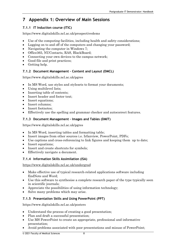## <span id="page-9-0"></span>**7 Appendix 1: Overview of Main Sessions**

#### **7.1.1 IT Induction course (ITIC)**

[https://www.digitalskills.ncl.ac.](http://fms-itskills.ncl.ac.uk/itic/)uk/prospectivedems

- Use of the computing facilities, including health and safety considerations;
- Logging on to and off of the computers and changing your password;
- Navigating the computer in Windows 7;
- Office365, NUContacts, RAS, BlackBoard;
- Connecting your own devices to the campus network;
- Good file and print practices;
- Getting help.

#### **7.1.2 Document Management – Content and Layout (DMCL)**

[https://www.digitalskills.ncl.ac.uk](http://fms-itskills.ncl.ac.uk/pgres/)/pgres

- In MS Word, use styles and stylesets to format your documents;
- Using multilevel lists:
- Inserting table of contents:
- Insert header and footer text;
- Insert equations;
- Insert columns;
- Insert footnotes;
- Effectively use the spelling and grammar checker and autocorrect features.

#### **7.1.3 Document Management – Images and Tables (DMIT)**

[https://www.digitalskills.ncl.ac.uk/pgre](http://fms-itskills.ncl.ac.uk/pgres/dmit)s

- In MS Word, inserting tables and formatting table;
- Insert images from other sources i.e. Irfanview, PowerPoint, PDFs;
- Use captions and cross-referencing to link figures and keeping them up to date;
- Insert equations;
- Insert and create shortcuts for symbols;
- Effectively navigate a document.

#### **7.1.4 Information Skills Assimilation (ISA)**

[https://www.digitalskills.ncl.ac.uk/un](http://fms-itskills.ncl.ac.uk/mbbs/isa)dergrad

- Make effective use of typical research-related applications software including EndNote and Word;
- Use this software to synthesise a complete research paper of the type typically seen in scientific journals;
- Appreciate the possibilities of using information technology;
- Solve many problems which may arise.

#### **7.1.5 Presentation Skills and Using PowerPoint (PPT)**

[https://www.digitalskills.ncl.ac.u](http://fms-itskills.ncl.ac.uk/ppt/)k/posters

- Understand the process of creating a good presentation;
- Plan and draft a successful presentation;
- Use MS PowerPoint to create an appropriate, professional and informative presentation;
- Avoid problems associated with poor presentations and misuse of PowerPoint;